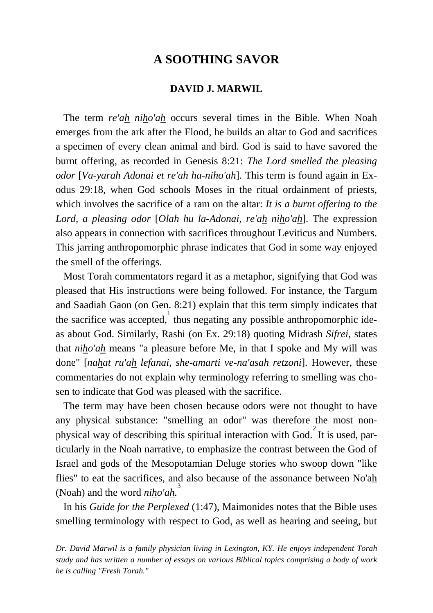## **A SOOTHING SAVOR**

## **DAVID J. MARWIL**

 The term *re'ah niho'ah* occurs several times in the Bible. When Noah emerges from the ark after the Flood, he builds an altar to God and sacrifices a specimen of every clean animal and bird. God is said to have savored the burnt offering, as recorded in Genesis 8:21: *The Lord smelled the pleasing odor* [*Va-yarah Adonai et re'ah ha-niho'ah*]. This term is found again in Exodus 29:18, when God schools Moses in the ritual ordainment of priests, which involves the sacrifice of a ram on the altar: *It is a burnt offering to the Lord, a pleasing odor* [*Olah hu la-Adonai, re'ah niho'ah*]. The expression also appears in connection with sacrifices throughout Leviticus and Numbers. This jarring anthropomorphic phrase indicates that God in some way enjoyed the smell of the offerings.

 Most Torah commentators regard it as a metaphor, signifying that God was pleased that His instructions were being followed. For instance, the Targum and Saadiah Gaon (on Gen. 8:21) explain that this term simply indicates that the sacrifice was accepted, thus negating any possible anthropomorphic ideas about God. Similarly, Rashi (on Ex. 29:18) quoting Midrash *Sifrei*, states that *niho'ah* means "a pleasure before Me, in that I spoke and My will was done" [*nahat ru'ah lefanai, she-amarti ve-na'asah retzoni*]. However, these commentaries do not explain why terminology referring to smelling was chosen to indicate that God was pleased with the sacrifice.

 The term may have been chosen because odors were not thought to have any physical substance: "smelling an odor" was therefore the most nonphysical way of describing this spiritual interaction with God.<sup>2</sup> It is used, particularly in the Noah narrative, to emphasize the contrast between the God of Israel and gods of the Mesopotamian Deluge stories who swoop down "like flies" to eat the sacrifices, and also because of the assonance between No'ah (Noah) and the word *niho'ah.* 3

 In his *Guide for the Perplexed* (1:47), Maimonides notes that the Bible uses smelling terminology with respect to God, as well as hearing and seeing, but

*Dr. David Marwil is a family physician living in Lexington, KY. He enjoys independent Torah study and has written a number of essays on various Biblical topics comprising a body of work he is calling "Fresh Torah."*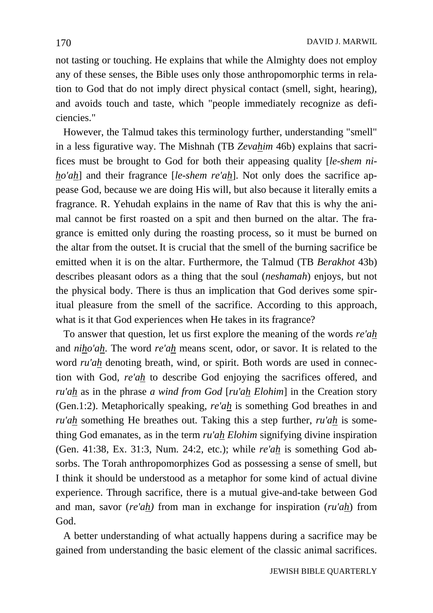not tasting or touching. He explains that while the Almighty does not employ any of these senses, the Bible uses only those anthropomorphic terms in relation to God that do not imply direct physical contact (smell, sight, hearing), and avoids touch and taste, which "people immediately recognize as deficiencies."

 However, the Talmud takes this terminology further, understanding "smell" in a less figurative way. The Mishnah (TB *Zevahim* 46b) explains that sacrifices must be brought to God for both their appeasing quality [*le-shem niho'ah*] and their fragrance [*le-shem re'ah*]. Not only does the sacrifice appease God, because we are doing His will, but also because it literally emits a fragrance. R. Yehudah explains in the name of Rav that this is why the animal cannot be first roasted on a spit and then burned on the altar. The fragrance is emitted only during the roasting process, so it must be burned on the altar from the outset. It is crucial that the smell of the burning sacrifice be emitted when it is on the altar. Furthermore, the Talmud (TB *Berakhot* 43b) describes pleasant odors as a thing that the soul (*neshamah*) enjoys, but not the physical body. There is thus an implication that God derives some spiritual pleasure from the smell of the sacrifice. According to this approach, what is it that God experiences when He takes in its fragrance?

 To answer that question, let us first explore the meaning of the words *re'ah* and *niho'ah*. The word *re'ah* means scent, odor, or savor. It is related to the word *ru'ah* denoting breath, wind, or spirit. Both words are used in connection with God, *re'ah* to describe God enjoying the sacrifices offered, and *ru'ah* as in the phrase *a wind from God* [*ru'ah Elohim*] in the Creation story (Gen.1:2). Metaphorically speaking, *re'ah* is something God breathes in and *ru'ah* something He breathes out. Taking this a step further, *ru'ah* is something God emanates, as in the term *ru'ah Elohim* signifying divine inspiration (Gen. 41:38, Ex. 31:3, Num. 24:2, etc.); while *re'ah* is something God absorbs. The Torah anthropomorphizes God as possessing a sense of smell, but I think it should be understood as a metaphor for some kind of actual divine experience. Through sacrifice, there is a mutual give-and-take between God and man, savor (*re'ah)* from man in exchange for inspiration (*ru'ah*) from God.

 A better understanding of what actually happens during a sacrifice may be gained from understanding the basic element of the classic animal sacrifices.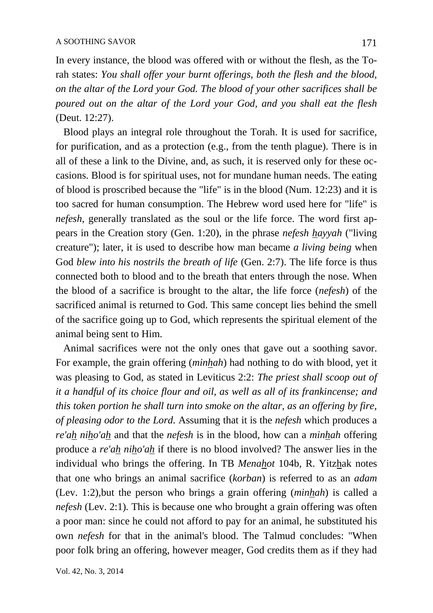In every instance, the blood was offered with or without the flesh, as the Torah states: *You shall offer your burnt offerings, both the flesh and the blood, on the altar of the Lord your God. The blood of your other sacrifices shall be poured out on the altar of the Lord your God, and you shall eat the flesh*  (Deut. 12:27).

 Blood plays an integral role throughout the Torah. It is used for sacrifice, for purification, and as a protection (e.g., from the tenth plague). There is in all of these a link to the Divine, and, as such, it is reserved only for these occasions. Blood is for spiritual uses, not for mundane human needs. The eating of blood is proscribed because the "life" is in the blood (Num. 12:23) and it is too sacred for human consumption. The Hebrew word used here for "life" is *nefesh*, generally translated as the soul or the life force. The word first appears in the Creation story (Gen. 1:20), in the phrase *nefesh hayyah* ("living creature"); later, it is used to describe how man became *a living being* when God *blew into his nostrils the breath of life* (Gen. 2:7). The life force is thus connected both to blood and to the breath that enters through the nose. When the blood of a sacrifice is brought to the altar, the life force (*nefesh*) of the sacrificed animal is returned to God. This same concept lies behind the smell of the sacrifice going up to God, which represents the spiritual element of the animal being sent to Him.

 Animal sacrifices were not the only ones that gave out a soothing savor. For example, the grain offering (*minhah*) had nothing to do with blood, yet it was pleasing to God, as stated in Leviticus 2:2: *The priest shall scoop out of it a handful of its choice flour and oil, as well as all of its frankincense; and this token portion he shall turn into smoke on the altar, as an offering by fire, of pleasing odor to the Lord.* Assuming that it is the *nefesh* which produces a *re'ah niho'ah* and that the *nefesh* is in the blood, how can a *minhah* offering produce a *re'ah niho'ah* if there is no blood involved? The answer lies in the individual who brings the offering. In TB *Menahot* 104b, R. Yitzhak notes that one who brings an animal sacrifice (*korban*) is referred to as an *adam* (Lev. 1:2)*,*but the person who brings a grain offering (*minhah*) is called a *nefesh* (Lev. 2:1)*.* This is because one who brought a grain offering was often a poor man: since he could not afford to pay for an animal, he substituted his own *nefesh* for that in the animal's blood. The Talmud concludes: "When poor folk bring an offering, however meager, God credits them as if they had